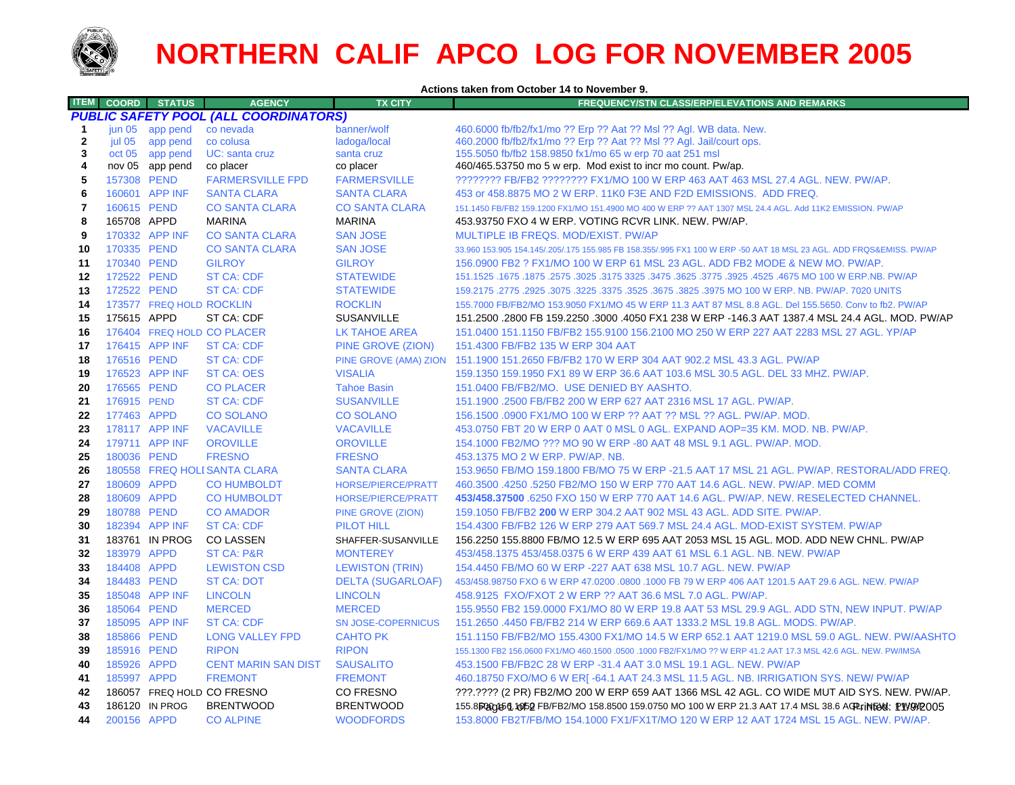

## **NORTHERN CALIF APCO LOG FOR NOVEMBER 2005**

**Actions taken from October 14 to November 9.**

| <b>ITEM</b>  | <b>COORD</b>      | <b>STATUS</b>            | <b>AGENCY</b>                                | <b>TX CITY</b>            | <b>FREQUENCY/STN CLASS/ERP/ELEVATIONS AND REMARKS</b>                                                               |
|--------------|-------------------|--------------------------|----------------------------------------------|---------------------------|---------------------------------------------------------------------------------------------------------------------|
|              |                   |                          | <b>PUBLIC SAFETY POOL (ALL COORDINATORS)</b> |                           |                                                                                                                     |
| -1           | jun <sub>05</sub> | app pend                 | co nevada                                    | banner/wolf               | 460.6000 fb/fb2/fx1/mo ?? Erp ?? Aat ?? Msl ?? Agl. WB data. New.                                                   |
| $\mathbf{2}$ | jul 05            | app pend                 | co colusa                                    | ladoga/local              | 460.2000 fb/fb2/fx1/mo ?? Erp ?? Aat ?? Msl ?? Agl. Jail/court ops.                                                 |
| 3            | oct 05            | app pend                 | UC: santa cruz                               | santa cruz                | 155.5050 fb/fb2 158.9850 fx1/mo 65 w erp 70 aat 251 msl                                                             |
| 4            |                   | nov 05 app pend          | co placer                                    | co placer                 | 460/465.53750 mo 5 w erp. Mod exist to incr mo count. Pw/ap.                                                        |
| 5            | 157308 PEND       |                          | <b>FARMERSVILLE FPD</b>                      | <b>FARMERSVILLE</b>       | ???????? FB/FB2 ???????? FX1/MO 100 W ERP 463 AAT 463 MSL 27.4 AGL. NEW. PW/AP.                                     |
| 6            |                   | 160601 APP INF           | <b>SANTA CLARA</b>                           | <b>SANTA CLARA</b>        | 453 or 458.8875 MO 2 W ERP. 11K0 F3E AND F2D EMISSIONS. ADD FREQ.                                                   |
| 7            | 160615 PEND       |                          | <b>CO SANTA CLARA</b>                        | <b>CO SANTA CLARA</b>     | 151.1450 FB/FB2 159.1200 FX1/MO 151.4900 MO 400 W ERP ?? AAT 1307 MSL 24.4 AGL. Add 11K2 EMISSION. PW/AP            |
| 8            | 165708 APPD       |                          | <b>MARINA</b>                                | <b>MARINA</b>             | 453.93750 FXO 4 W ERP. VOTING RCVR LINK. NEW. PW/AP.                                                                |
| 9            |                   | 170332 APP INF           | <b>CO SANTA CLARA</b>                        | <b>SAN JOSE</b>           | MULTIPLE IB FREQS. MOD/EXIST. PW/AP                                                                                 |
| 10           | 170335 PEND       |                          | <b>CO SANTA CLARA</b>                        | <b>SAN JOSE</b>           | 33.960 153.905 154.145/.205/.175 155.985 FB 158.355/.995 FX1 100 W ERP -50 AAT 18 MSL 23 AGL. ADD FRQS&EMISS. PW/AP |
| 11           | 170340 PEND       |                          | <b>GILROY</b>                                | <b>GILROY</b>             | 156,0900 FB2 ? FX1/MO 100 W ERP 61 MSL 23 AGL, ADD FB2 MODE & NEW MO, PW/AP.                                        |
| 12           | 172522 PEND       |                          | <b>ST CA: CDF</b>                            | <b>STATEWIDE</b>          | 151.1525 .1675 .1875 .3025 .3175 .3625 .3775 .3625 .3775 .3925 .3475 .3625 .3175 .2575 .1875 .1877 .1525 .1675      |
| 13           | 172522 PEND       |                          | <b>ST CA: CDF</b>                            | <b>STATEWIDE</b>          | 159.2175 .2775 .2925 .3075 .3225 .375 .3625 .3675 .3825 .3975 MO 100 W ERP. NB. PW/AP. 7020 UNITS                   |
| 14           |                   | 173577 FREQ HOLD ROCKLIN |                                              | <b>ROCKLIN</b>            | 155.7000 FB/FB2/MO 153.9050 FX1/MO 45 W ERP 11.3 AAT 87 MSL 8.8 AGL. Del 155.5650. Conv to fb2. PW/AP               |
| 15           | 175615 APPD       |                          | ST CA: CDF                                   | <b>SUSANVILLE</b>         | 151.2500 .2800 FB 159.2250 .3000 .4050 FX1 238 W ERP -146.3 AAT 1387.4 MSL 24.4 AGL. MOD. PW/AP                     |
| 16           |                   |                          | 176404 FREQ HOLD CO PLACER                   | <b>LK TAHOE AREA</b>      | 151.0400 151.1150 FB/FB2 155.9100 156.2100 MO 250 W ERP 227 AAT 2283 MSL 27 AGL, YP/AP                              |
| 17           |                   | 176415 APP INF           | <b>ST CA: CDF</b>                            | PINE GROVE (ZION)         | 151.4300 FB/FB2 135 W ERP 304 AAT                                                                                   |
| 18           | 176516 PEND       |                          | <b>ST CA: CDF</b>                            | PINE GROVE (AMA) ZION     | 151.1900 151.2650 FB/FB2 170 W ERP 304 AAT 902.2 MSL 43.3 AGL. PW/AP                                                |
| 19           |                   | 176523 APP INF           | <b>ST CA: OES</b>                            | <b>VISALIA</b>            | 159.1350 159.1950 FX1 89 W ERP 36.6 AAT 103.6 MSL 30.5 AGL. DEL 33 MHZ. PW/AP.                                      |
| 20           | 176565 PEND       |                          | <b>CO PLACER</b>                             | <b>Tahoe Basin</b>        | 151.0400 FB/FB2/MO. USE DENIED BY AASHTO.                                                                           |
| 21           | 176915 PEND       |                          | <b>ST CA: CDF</b>                            | <b>SUSANVILLE</b>         | 151.1900 .2500 FB/FB2 200 W ERP 627 AAT 2316 MSL 17 AGL. PW/AP.                                                     |
| 22           | 177463 APPD       |                          | <b>CO SOLANO</b>                             | <b>CO SOLANO</b>          | 156.1500 .0900 FX1/MO 100 W ERP ?? AAT ?? MSL ?? AGL. PW/AP. MOD.                                                   |
| 23           |                   | 178117 APP INF           | <b>VACAVILLE</b>                             | <b>VACAVILLE</b>          | 453.0750 FBT 20 W ERP 0 AAT 0 MSL 0 AGL. EXPAND AOP=35 KM. MOD. NB. PW/AP.                                          |
| 24           |                   | 179711 APP INF           | <b>OROVILLE</b>                              | <b>OROVILLE</b>           | 154.1000 FB2/MO ??? MO 90 W ERP -80 AAT 48 MSL 9.1 AGL. PW/AP. MOD.                                                 |
| 25           | 180036 PEND       |                          | <b>FRESNO</b>                                | <b>FRESNO</b>             | 453.1375 MO 2 W ERP. PW/AP. NB.                                                                                     |
| 26           |                   |                          | 180558 FREQ HOLI SANTA CLARA                 | <b>SANTA CLARA</b>        | 153.9650 FB/MO 159.1800 FB/MO 75 W ERP -21.5 AAT 17 MSL 21 AGL. PW/AP. RESTORAL/ADD FREQ.                           |
| 27           | 180609 APPD       |                          | <b>CO HUMBOLDT</b>                           | <b>HORSE/PIERCE/PRATT</b> | 460.3500 .4250 .5250 FB2/MO 150 W ERP 770 AAT 14.6 AGL, NEW, PW/AP, MED COMM                                        |
| 28           | 180609 APPD       |                          | <b>CO HUMBOLDT</b>                           | <b>HORSE/PIERCE/PRATT</b> | 453/458.37500 6250 FXO 150 W ERP 770 AAT 14.6 AGL. PW/AP. NEW. RESELECTED CHANNEL.                                  |
| 29           | 180788 PEND       |                          | <b>CO AMADOR</b>                             | PINE GROVE (ZION)         | 159.1050 FB/FB2 200 W ERP 304.2 AAT 902 MSL 43 AGL, ADD SITE, PW/AP.                                                |
| 30           |                   | 182394 APP INF           | <b>ST CA: CDF</b>                            | <b>PILOT HILL</b>         | 154.4300 FB/FB2 126 W ERP 279 AAT 569.7 MSL 24.4 AGL. MOD-EXIST SYSTEM. PW/AP                                       |
| 31           |                   | 183761 IN PROG           | <b>CO LASSEN</b>                             | SHAFFER-SUSANVILLE        | 156.2250 155.8800 FB/MO 12.5 W ERP 695 AAT 2053 MSL 15 AGL. MOD. ADD NEW CHNL. PW/AP                                |
| 32           | 183979 APPD       |                          | <b>ST CA: P&amp;R</b>                        | <b>MONTEREY</b>           | 453/458.1375 453/458.0375 6 W ERP 439 AAT 61 MSL 6.1 AGL. NB. NEW. PW/AP                                            |
| 33           | 184408 APPD       |                          | <b>LEWISTON CSD</b>                          | <b>LEWISTON (TRIN)</b>    | 154.4450 FB/MO 60 W ERP -227 AAT 638 MSL 10.7 AGL. NEW. PW/AP                                                       |
| 34           | 184483 PEND       |                          | <b>ST CA: DOT</b>                            | <b>DELTA (SUGARLOAF)</b>  | 453/458.98750 FXO 6 W ERP 47.0200 .0800 .1000 FB 79 W ERP 406 AAT 1201.5 AAT 29.6 AGL. NEW. PW/AP                   |
| 35           |                   | 185048 APP INF           | <b>LINCOLN</b>                               | <b>LINCOLN</b>            | 458.9125 FXO/FXOT 2 W ERP ?? AAT 36.6 MSL 7.0 AGL. PW/AP.                                                           |
| 36           | 185064 PEND       |                          | <b>MERCED</b>                                | <b>MERCED</b>             | 155.9550 FB2 159.0000 FX1/MO 80 W ERP 19.8 AAT 53 MSL 29.9 AGL. ADD STN, NEW INPUT. PW/AP                           |
| 37           |                   | 185095 APP INF           | <b>ST CA: CDF</b>                            | <b>SN JOSE-COPERNICUS</b> | 151.2650 .4450 FB/FB2 214 W ERP 669.6 AAT 1333.2 MSL 19.8 AGL. MODS. PW/AP.                                         |
| 38           | 185866 PEND       |                          | <b>LONG VALLEY FPD</b>                       | <b>CAHTO PK</b>           | 151.1150 FB/FB2/MO 155.4300 FX1/MO 14.5 W ERP 652.1 AAT 1219.0 MSL 59.0 AGL. NEW. PW/AASHTO                         |
| 39           | 185916 PEND       |                          | <b>RIPON</b>                                 | <b>RIPON</b>              | 155.1300 FB2 156.0600 FX1/MO 460.1500 .0500 .1000 FB2/FX1/MO ?? W ERP 41.2 AAT 17.3 MSL 42.6 AGL. NEW. PW/IMSA      |
| 40           | 185926 APPD       |                          | <b>CENT MARIN SAN DIST</b>                   | <b>SAUSALITO</b>          | 453.1500 FB/FB2C 28 W ERP -31.4 AAT 3.0 MSL 19.1 AGL. NEW. PW/AP                                                    |
| 41           | 185997 APPD       |                          | <b>FREMONT</b>                               | <b>FREMONT</b>            | 460.18750 FXO/MO 6 W ER[-64.1 AAT 24.3 MSL 11.5 AGL. NB. IRRIGATION SYS. NEW/ PW/AP                                 |
| 42           |                   |                          | 186057 FREQ HOLD CO FRESNO                   | <b>CO FRESNO</b>          | ???.???? (2 PR) FB2/MO 200 W ERP 659 AAT 1366 MSL 42 AGL. CO WIDE MUT AID SYS. NEW. PW/AP.                          |
| 43           |                   | 186120 IN PROG           | <b>BRENTWOOD</b>                             | <b>BRENTWOOD</b>          | 155.8 500 052 FB/FB2/MO 158.8500 159.0750 MO 100 W ERP 21.3 AAT 17.4 MSL 38.6 ACPL; IN FOW PPO 05                   |
| 44           | 200156 APPD       |                          | <b>CO ALPINE</b>                             | <b>WOODFORDS</b>          | 153.8000 FB2T/FB/MO 154.1000 FX1/FX1T/MO 120 W ERP 12 AAT 1724 MSL 15 AGL. NEW. PW/AP.                              |